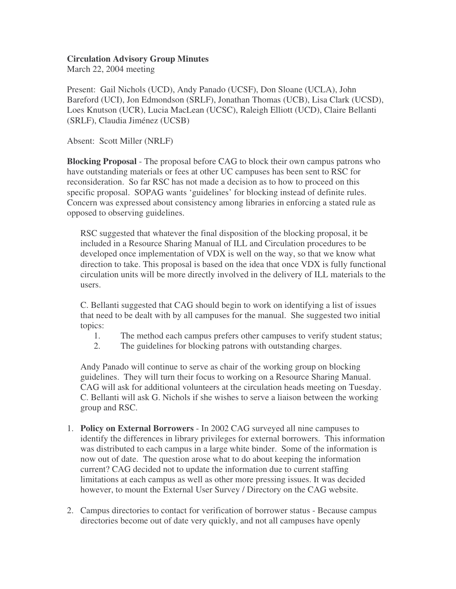## **Circulation Advisory Group Minutes**

March 22, 2004 meeting

Present: Gail Nichols (UCD), Andy Panado (UCSF), Don Sloane (UCLA), John Bareford (UCI), Jon Edmondson (SRLF), Jonathan Thomas (UCB), Lisa Clark (UCSD), Loes Knutson (UCR), Lucia MacLean (UCSC), Raleigh Elliott (UCD), Claire Bellanti (SRLF), Claudia Jiménez (UCSB)

Absent: Scott Miller (NRLF)

**Blocking Proposal** - The proposal before CAG to block their own campus patrons who have outstanding materials or fees at other UC campuses has been sent to RSC for reconsideration. So far RSC has not made a decision as to how to proceed on this specific proposal. SOPAG wants 'guidelines' for blocking instead of definite rules. Concern was expressed about consistency among libraries in enforcing a stated rule as opposed to observing guidelines.

RSC suggested that whatever the final disposition of the blocking proposal, it be included in a Resource Sharing Manual of ILL and Circulation procedures to be developed once implementation of VDX is well on the way, so that we know what direction to take. This proposal is based on the idea that once VDX is fully functional circulation units will be more directly involved in the delivery of ILL materials to the users.

C. Bellanti suggested that CAG should begin to work on identifying a list of issues that need to be dealt with by all campuses for the manual. She suggested two initial topics:

- 1. The method each campus prefers other campuses to verify student status;
- 2. The guidelines for blocking patrons with outstanding charges.

Andy Panado will continue to serve as chair of the working group on blocking guidelines. They will turn their focus to working on a Resource Sharing Manual. CAG will ask for additional volunteers at the circulation heads meeting on Tuesday. C. Bellanti will ask G. Nichols if she wishes to serve a liaison between the working group and RSC.

- 1. **Policy on External Borrowers** In 2002 CAG surveyed all nine campuses to identify the differences in library privileges for external borrowers. This information was distributed to each campus in a large white binder. Some of the information is now out of date. The question arose what to do about keeping the information current? CAG decided not to update the information due to current staffing limitations at each campus as well as other more pressing issues. It was decided however, to mount the External User Survey / Directory on the CAG website.
- 2. Campus directories to contact for verification of borrower status Because campus directories become out of date very quickly, and not all campuses have openly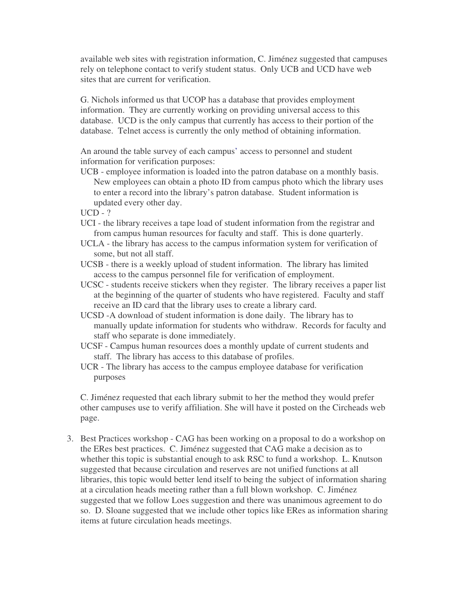available web sites with registration information, C. Jiménez suggested that campuses rely on telephone contact to verify student status. Only UCB and UCD have web sites that are current for verification.

G. Nichols informed us that UCOP has a database that provides employment information. They are currently working on providing universal access to this database. UCD is the only campus that currently has access to their portion of the database. Telnet access is currently the only method of obtaining information.

An around the table survey of each campus' access to personnel and student information for verification purposes:

- UCB employee information is loaded into the patron database on a monthly basis. New employees can obtain a photo ID from campus photo which the library uses to enter a record into the library's patron database. Student information is updated every other day.
- UCD ?
- UCI the library receives a tape load of student information from the registrar and from campus human resources for faculty and staff. This is done quarterly.
- UCLA the library has access to the campus information system for verification of some, but not all staff.
- UCSB there is a weekly upload of student information. The library has limited access to the campus personnel file for verification of employment.
- UCSC students receive stickers when they register. The library receives a paper list at the beginning of the quarter of students who have registered. Faculty and staff receive an ID card that the library uses to create a library card.
- UCSD -A download of student information is done daily. The library has to manually update information for students who withdraw. Records for faculty and staff who separate is done immediately.
- UCSF Campus human resources does a monthly update of current students and staff. The library has access to this database of profiles.
- UCR The library has access to the campus employee database for verification purposes

C. Jiménez requested that each library submit to her the method they would prefer other campuses use to verify affiliation. She will have it posted on the Circheads web page.

3. Best Practices workshop - CAG has been working on a proposal to do a workshop on the ERes best practices. C. Jiménez suggested that CAG make a decision as to whether this topic is substantial enough to ask RSC to fund a workshop. L. Knutson suggested that because circulation and reserves are not unified functions at all libraries, this topic would better lend itself to being the subject of information sharing at a circulation heads meeting rather than a full blown workshop. C. Jiménez suggested that we follow Loes suggestion and there was unanimous agreement to do so. D. Sloane suggested that we include other topics like ERes as information sharing items at future circulation heads meetings.